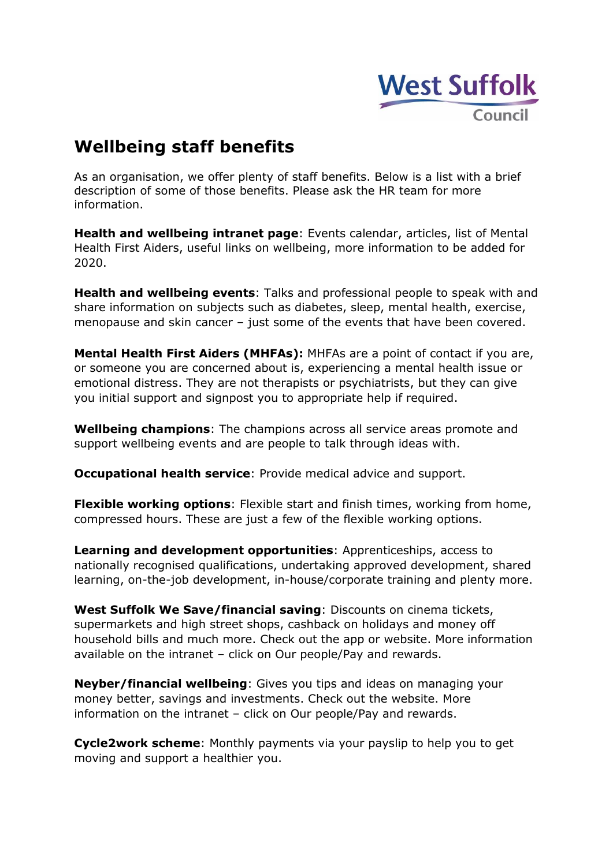

## **Wellbeing staff benefits**

As an organisation, we offer plenty of staff benefits. Below is a list with a brief description of some of those benefits. Please ask the HR team for more information.

**Health and wellbeing intranet page**: Events calendar, articles, list of Mental Health First Aiders, useful links on wellbeing, more information to be added for 2020.

**Health and wellbeing events**: Talks and professional people to speak with and share information on subjects such as diabetes, sleep, mental health, exercise, menopause and skin cancer – just some of the events that have been covered.

**Mental Health First Aiders (MHFAs):** MHFAs are a point of contact if you are, or someone you are concerned about is, experiencing a mental health issue or emotional distress. They are not therapists or psychiatrists, but they can give you initial support and signpost you to appropriate help if required.

**Wellbeing champions**: The champions across all service areas promote and support wellbeing events and are people to talk through ideas with.

**Occupational health service**: Provide medical advice and support.

**Flexible working options**: Flexible start and finish times, working from home, compressed hours. These are just a few of the flexible working options.

**Learning and development opportunities**: Apprenticeships, access to nationally recognised qualifications, undertaking approved development, shared learning, on-the-job development, in-house/corporate training and plenty more.

**West Suffolk We Save/financial saving**: Discounts on cinema tickets, supermarkets and high street shops, cashback on holidays and money off household bills and much more. Check out the app or website. More information available on the intranet – click on Our people/Pay and rewards.

**Neyber/financial wellbeing**: Gives you tips and ideas on managing your money better, savings and investments. Check out the website. More information on the intranet – click on Our people/Pay and rewards.

**Cycle2work scheme**: Monthly payments via your payslip to help you to get moving and support a healthier you.